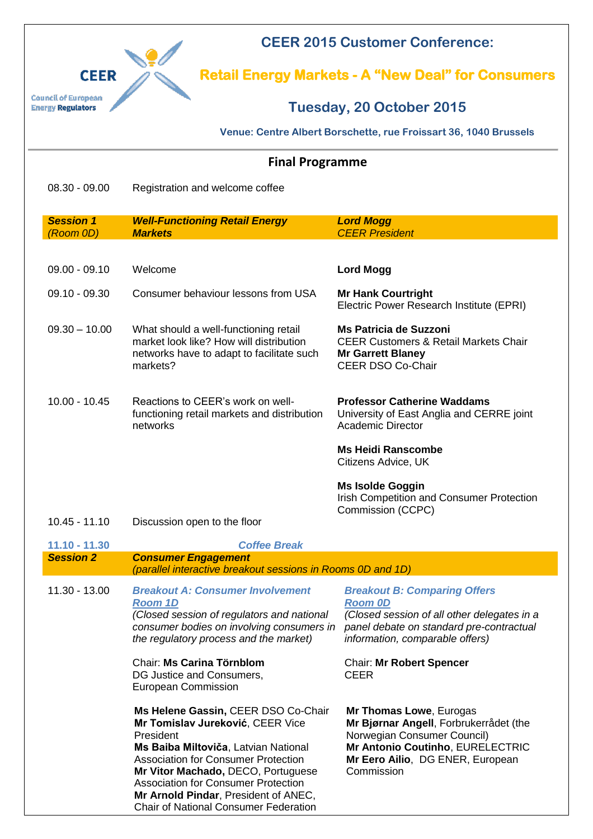

**CEER 2015 Customer Conference:** 

**Retail Energy Markets - A "New Deal" for Consumers** 

## **Tuesday, 20 October 2015**

**Venue: Centre Albert Borschette, rue Froissart 36, 1040 Brussels**

## **Final Programme**

08.30 - 09.00 Registration and welcome coffee

| <b>Session 1</b><br>(Room 0D) | <b>Well-Functioning Retail Energy</b><br><b>Markets</b>                                                                                                                                                                                                                                                                                                | <b>Lord Mogg</b><br><b>CEER President</b>                                                                                                                                              |
|-------------------------------|--------------------------------------------------------------------------------------------------------------------------------------------------------------------------------------------------------------------------------------------------------------------------------------------------------------------------------------------------------|----------------------------------------------------------------------------------------------------------------------------------------------------------------------------------------|
|                               |                                                                                                                                                                                                                                                                                                                                                        |                                                                                                                                                                                        |
| $09.00 - 09.10$               | Welcome                                                                                                                                                                                                                                                                                                                                                | <b>Lord Mogg</b>                                                                                                                                                                       |
| $09.10 - 09.30$               | Consumer behaviour lessons from USA                                                                                                                                                                                                                                                                                                                    | <b>Mr Hank Courtright</b><br>Electric Power Research Institute (EPRI)                                                                                                                  |
| $09.30 - 10.00$               | What should a well-functioning retail<br>market look like? How will distribution<br>networks have to adapt to facilitate such<br>markets?                                                                                                                                                                                                              | <b>Ms Patricia de Suzzoni</b><br><b>CEER Customers &amp; Retail Markets Chair</b><br><b>Mr Garrett Blaney</b><br>CEER DSO Co-Chair                                                     |
| $10.00 - 10.45$               | Reactions to CEER's work on well-<br>functioning retail markets and distribution<br>networks                                                                                                                                                                                                                                                           | <b>Professor Catherine Waddams</b><br>University of East Anglia and CERRE joint<br><b>Academic Director</b>                                                                            |
|                               |                                                                                                                                                                                                                                                                                                                                                        | <b>Ms Heidi Ranscombe</b><br>Citizens Advice, UK                                                                                                                                       |
|                               |                                                                                                                                                                                                                                                                                                                                                        | <b>Ms Isolde Goggin</b><br>Irish Competition and Consumer Protection<br>Commission (CCPC)                                                                                              |
| $10.45 - 11.10$               | Discussion open to the floor                                                                                                                                                                                                                                                                                                                           |                                                                                                                                                                                        |
| 11.10 - 11.30                 | <b>Coffee Break</b>                                                                                                                                                                                                                                                                                                                                    |                                                                                                                                                                                        |
| <b>Session 2</b>              | <b>Consumer Engagement</b><br>(parallel interactive breakout sessions in Rooms 0D and 1D)                                                                                                                                                                                                                                                              |                                                                                                                                                                                        |
| 11.30 - 13.00                 | <b>Breakout A: Consumer Involvement</b><br><b>Room 1D</b><br>(Closed session of regulators and national<br>consumer bodies on involving consumers in<br>the regulatory process and the market)                                                                                                                                                         | <b>Breakout B: Comparing Offers</b><br><b>Room OD</b><br>(Closed session of all other delegates in a<br>panel debate on standard pre-contractual<br>information, comparable offers)    |
|                               | Chair: Ms Carina Törnblom<br>DG Justice and Consumers,<br>European Commission                                                                                                                                                                                                                                                                          | <b>Chair: Mr Robert Spencer</b><br><b>CEER</b>                                                                                                                                         |
|                               | Ms Helene Gassin, CEER DSO Co-Chair<br>Mr Tomislav Jureković, CEER Vice<br>President<br>Ms Baiba Miltoviča, Latvian National<br><b>Association for Consumer Protection</b><br>Mr Vitor Machado, DECO, Portuguese<br><b>Association for Consumer Protection</b><br>Mr Arnold Pindar, President of ANEC,<br><b>Chair of National Consumer Federation</b> | Mr Thomas Lowe, Eurogas<br>Mr Bjørnar Angell, Forbrukerrådet (the<br>Norwegian Consumer Council)<br>Mr Antonio Coutinho, EURELECTRIC<br>Mr Eero Ailio, DG ENER, European<br>Commission |